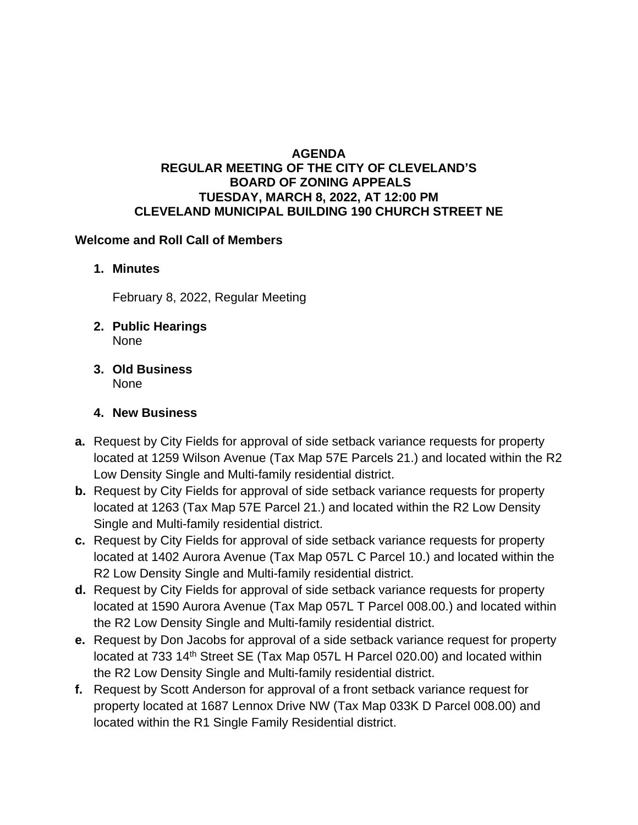### **AGENDA REGULAR MEETING OF THE CITY OF CLEVELAND'S BOARD OF ZONING APPEALS TUESDAY, MARCH 8, 2022, AT 12:00 PM CLEVELAND MUNICIPAL BUILDING 190 CHURCH STREET NE**

#### **Welcome and Roll Call of Members**

**1. Minutes**

February 8, 2022, Regular Meeting

- **2. Public Hearings** None
- **3. Old Business** None

### **4. New Business**

- **a.** Request by City Fields for approval of side setback variance requests for property located at 1259 Wilson Avenue (Tax Map 57E Parcels 21.) and located within the R2 Low Density Single and Multi-family residential district.
- **b.** Request by City Fields for approval of side setback variance requests for property located at 1263 (Tax Map 57E Parcel 21.) and located within the R2 Low Density Single and Multi-family residential district.
- **c.** Request by City Fields for approval of side setback variance requests for property located at 1402 Aurora Avenue (Tax Map 057L C Parcel 10.) and located within the R2 Low Density Single and Multi-family residential district.
- **d.** Request by City Fields for approval of side setback variance requests for property located at 1590 Aurora Avenue (Tax Map 057L T Parcel 008.00.) and located within the R2 Low Density Single and Multi-family residential district.
- **e.** Request by Don Jacobs for approval of a side setback variance request for property located at 733 14th Street SE (Tax Map 057L H Parcel 020.00) and located within the R2 Low Density Single and Multi-family residential district.
- **f.** Request by Scott Anderson for approval of a front setback variance request for property located at 1687 Lennox Drive NW (Tax Map 033K D Parcel 008.00) and located within the R1 Single Family Residential district.